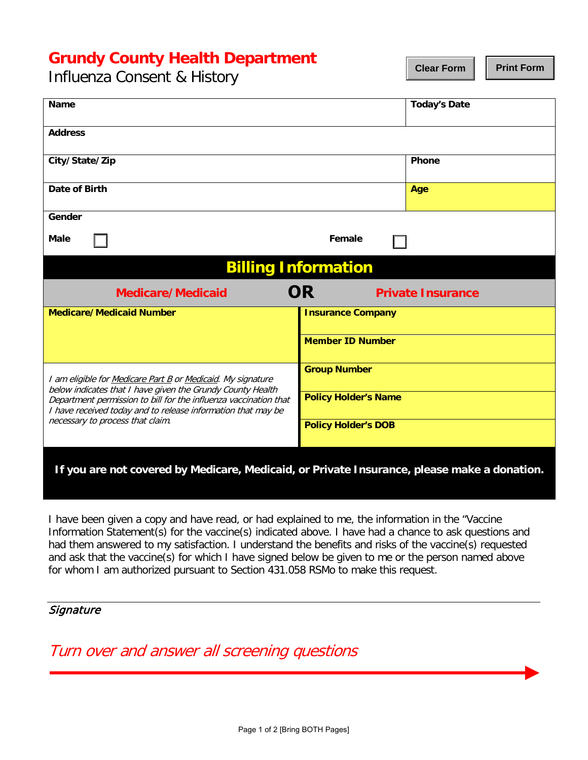## **Grundy County Health Department**

Influenza Consent & History

| <b>Clear For</b> |  |
|------------------|--|
|------------------|--|

**Clear Form Print Form**

| <b>Name</b>                                                                                                                      |                             | <b>Today's Date</b>      |
|----------------------------------------------------------------------------------------------------------------------------------|-----------------------------|--------------------------|
|                                                                                                                                  |                             |                          |
| <b>Address</b>                                                                                                                   |                             |                          |
|                                                                                                                                  |                             |                          |
| City/State/Zip                                                                                                                   |                             | Phone                    |
|                                                                                                                                  |                             |                          |
| Date of Birth                                                                                                                    |                             | Age                      |
|                                                                                                                                  |                             |                          |
| Gender                                                                                                                           |                             |                          |
| Female<br>Male                                                                                                                   |                             |                          |
|                                                                                                                                  |                             |                          |
| <b>Billing Information</b>                                                                                                       |                             |                          |
|                                                                                                                                  |                             |                          |
|                                                                                                                                  |                             |                          |
| Medicare/Medicaid                                                                                                                | <b>OR</b>                   | <b>Private Insurance</b> |
| <b>Medicare/Medicaid Number</b>                                                                                                  | <b>Insurance Company</b>    |                          |
|                                                                                                                                  |                             |                          |
|                                                                                                                                  | <b>Member ID Number</b>     |                          |
|                                                                                                                                  |                             |                          |
| I am eligible for Medicare Part B or Medicaid. My signature                                                                      | <b>Group Number</b>         |                          |
| below indicates that I have given the Grundy County Health                                                                       | <b>Policy Holder's Name</b> |                          |
| Department permission to bill for the influenza vaccination that<br>I have received today and to release information that may be |                             |                          |
| necessary to process that claim.                                                                                                 | <b>Policy Holder's DOB</b>  |                          |
|                                                                                                                                  |                             |                          |

**If you are not covered by Medicare, Medicaid, or Private Insurance, please make a donation.** 

I have been given a copy and have read, or had explained to me, the information in the "Vaccine Information Statement(s) for the vaccine(s) indicated above. I have had a chance to ask questions and had them answered to my satisfaction. I understand the benefits and risks of the vaccine(s) requested and ask that the vaccine(s) for which I have signed below be given to me or the person named above for whom I am authorized pursuant to Section 431.058 RSMo to make this request.

## **Signature**

Turn over and answer all screening questions